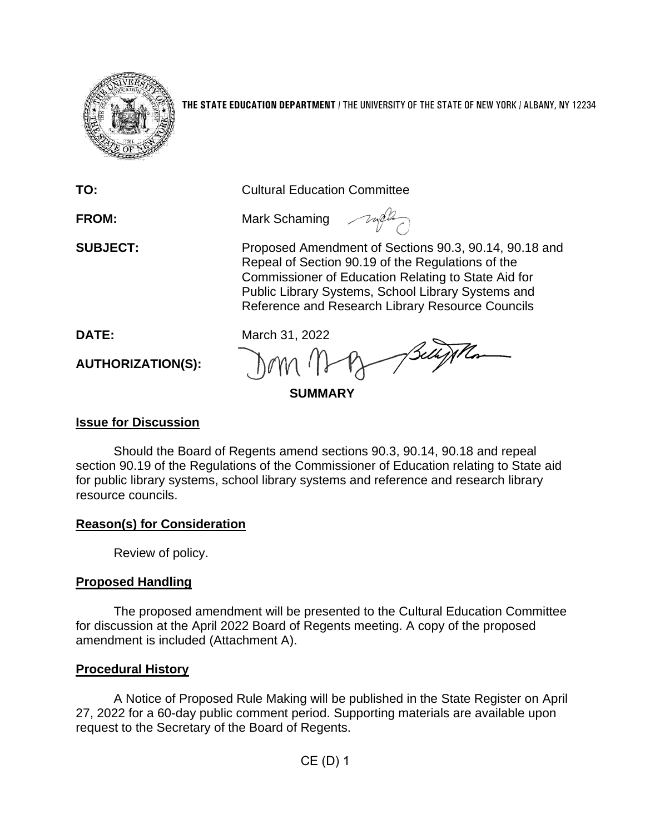

**THE STATE EDUCATION DEPARTMENT** / THE UNIVERSITY OF THE STATE OF NEW YORK / ALBANY, NY 12234

| TO:                      | <b>Cultural Education Committee</b>                                                                                                                                                                                                                                         |
|--------------------------|-----------------------------------------------------------------------------------------------------------------------------------------------------------------------------------------------------------------------------------------------------------------------------|
| <b>FROM:</b>             | Mark Schaming                                                                                                                                                                                                                                                               |
| <b>SUBJECT:</b>          | Proposed Amendment of Sections 90.3, 90.14, 90.18 and<br>Repeal of Section 90.19 of the Regulations of the<br>Commissioner of Education Relating to State Aid for<br>Public Library Systems, School Library Systems and<br>Reference and Research Library Resource Councils |
| DATE:                    | March 31, 2022                                                                                                                                                                                                                                                              |
| <b>AUTHORIZATION(S):</b> | Sellifthon                                                                                                                                                                                                                                                                  |
| <b>SUMMARY</b>           |                                                                                                                                                                                                                                                                             |
|                          |                                                                                                                                                                                                                                                                             |

### **Issue for Discussion**

Should the Board of Regents amend sections 90.3, 90.14, 90.18 and repeal section 90.19 of the Regulations of the Commissioner of Education relating to State aid for public library systems, school library systems and reference and research library resource councils.

# **Reason(s) for Consideration**

Review of policy.

# **Proposed Handling**

The proposed amendment will be presented to the Cultural Education Committee for discussion at the April 2022 Board of Regents meeting. A copy of the proposed amendment is included (Attachment A).

# **Procedural History**

A Notice of Proposed Rule Making will be published in the State Register on April 27, 2022 for a 60-day public comment period. Supporting materials are available upon request to the Secretary of the Board of Regents.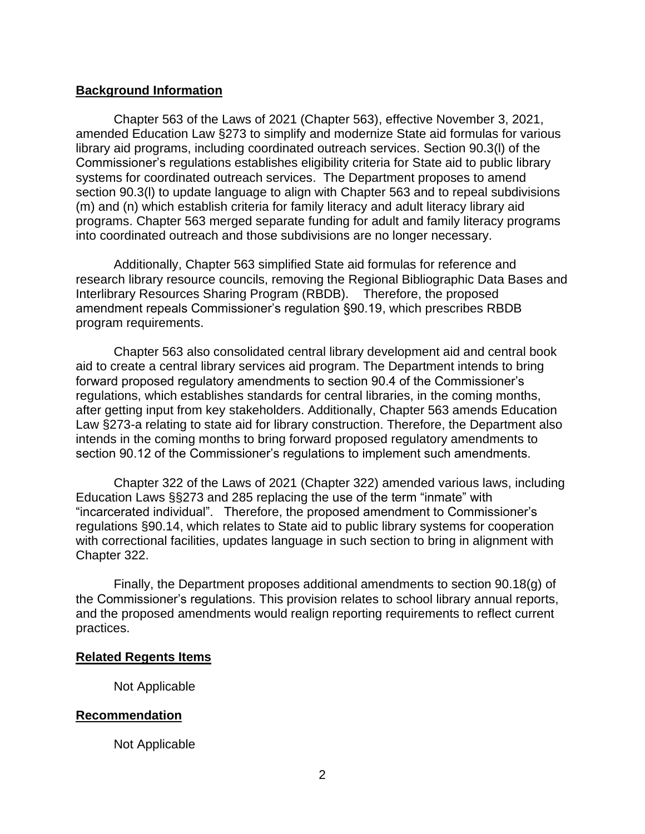### **Background Information**

Chapter 563 of the Laws of 2021 (Chapter 563), effective November 3, 2021, amended Education Law §273 to simplify and modernize State aid formulas for various library aid programs, including coordinated outreach services. Section 90.3(l) of the Commissioner's regulations establishes eligibility criteria for State aid to public library systems for coordinated outreach services. The Department proposes to amend section 90.3(l) to update language to align with Chapter 563 and to repeal subdivisions (m) and (n) which establish criteria for family literacy and adult literacy library aid programs. Chapter 563 merged separate funding for adult and family literacy programs into coordinated outreach and those subdivisions are no longer necessary.

Additionally, Chapter 563 simplified State aid formulas for reference and research library resource councils, removing the Regional Bibliographic Data Bases and Interlibrary Resources Sharing Program (RBDB). Therefore, the proposed amendment repeals Commissioner's regulation §90.19, which prescribes RBDB program requirements.

Chapter 563 also consolidated central library development aid and central book aid to create a central library services aid program. The Department intends to bring forward proposed regulatory amendments to section 90.4 of the Commissioner's regulations, which establishes standards for central libraries, in the coming months, after getting input from key stakeholders. Additionally, Chapter 563 amends Education Law §273-a relating to state aid for library construction. Therefore, the Department also intends in the coming months to bring forward proposed regulatory amendments to section 90.12 of the Commissioner's regulations to implement such amendments.

Chapter 322 of the Laws of 2021 (Chapter 322) amended various laws, including Education Laws §§273 and 285 replacing the use of the term "inmate" with "incarcerated individual". Therefore, the proposed amendment to Commissioner's regulations §90.14, which relates to State aid to public library systems for cooperation with correctional facilities, updates language in such section to bring in alignment with Chapter 322.

Finally, the Department proposes additional amendments to section 90.18(g) of the Commissioner's regulations. This provision relates to school library annual reports, and the proposed amendments would realign reporting requirements to reflect current practices.

### **Related Regents Items**

Not Applicable

### **Recommendation**

Not Applicable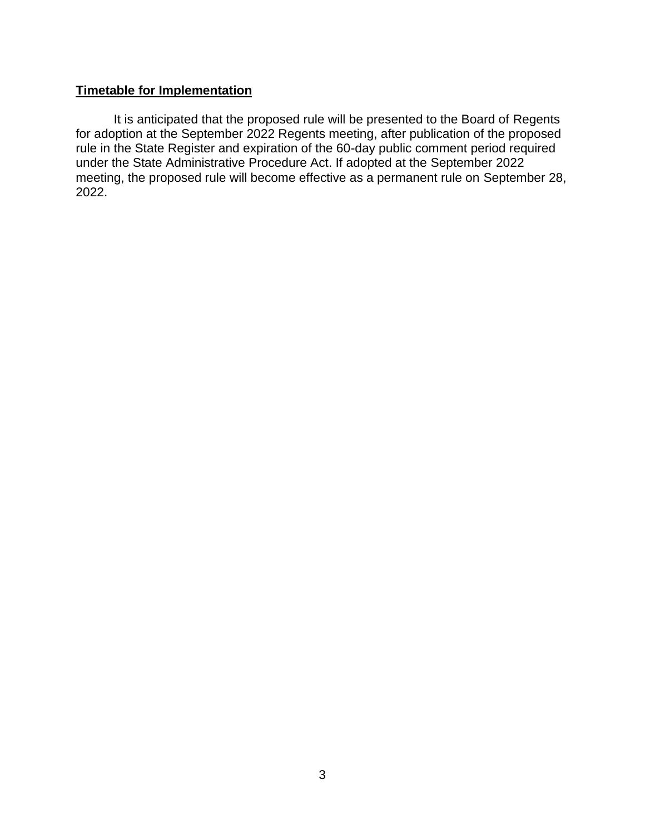# **Timetable for Implementation**

It is anticipated that the proposed rule will be presented to the Board of Regents for adoption at the September 2022 Regents meeting, after publication of the proposed rule in the State Register and expiration of the 60-day public comment period required under the State Administrative Procedure Act. If adopted at the September 2022 meeting, the proposed rule will become effective as a permanent rule on September 28, 2022.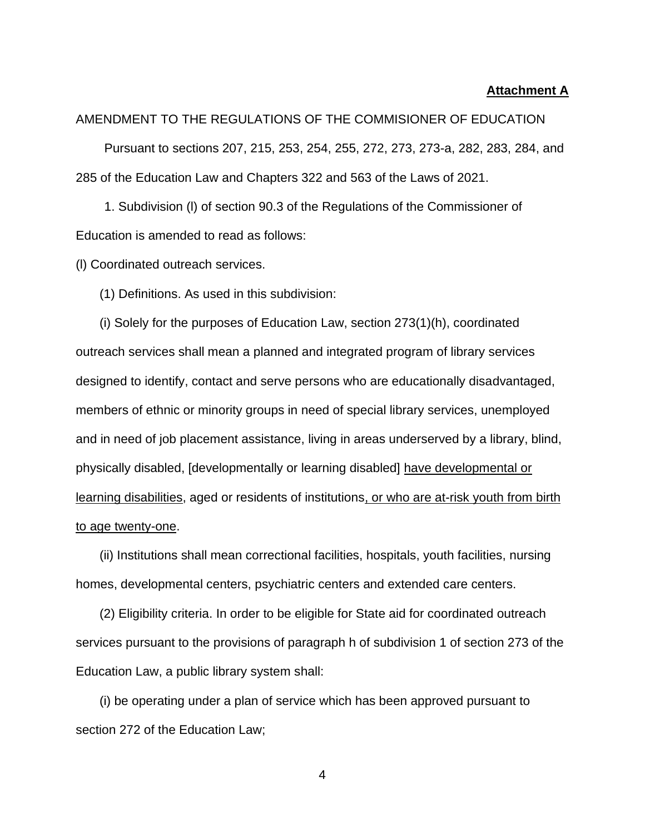#### **Attachment A**

#### AMENDMENT TO THE REGULATIONS OF THE COMMISIONER OF EDUCATION

Pursuant to sections 207, 215, 253, 254, 255, 272, 273, 273-a, 282, 283, 284, and 285 of the Education Law and Chapters 322 and 563 of the Laws of 2021.

1. Subdivision (l) of section 90.3 of the Regulations of the Commissioner of Education is amended to read as follows:

(l) Coordinated outreach services.

(1) Definitions. As used in this subdivision:

(i) Solely for the purposes of Education Law, section 273(1)(h), coordinated outreach services shall mean a planned and integrated program of library services designed to identify, contact and serve persons who are educationally disadvantaged, members of ethnic or minority groups in need of special library services, unemployed and in need of job placement assistance, living in areas underserved by a library, blind, physically disabled, [developmentally or learning disabled] have developmental or learning disabilities, aged or residents of institutions, or who are at-risk youth from birth to age twenty-one.

(ii) Institutions shall mean correctional facilities, hospitals, youth facilities, nursing homes, developmental centers, psychiatric centers and extended care centers.

(2) Eligibility criteria. In order to be eligible for State aid for coordinated outreach services pursuant to the provisions of paragraph h of subdivision 1 of section 273 of the Education Law, a public library system shall:

(i) be operating under a plan of service which has been approved pursuant to section 272 of the Education Law;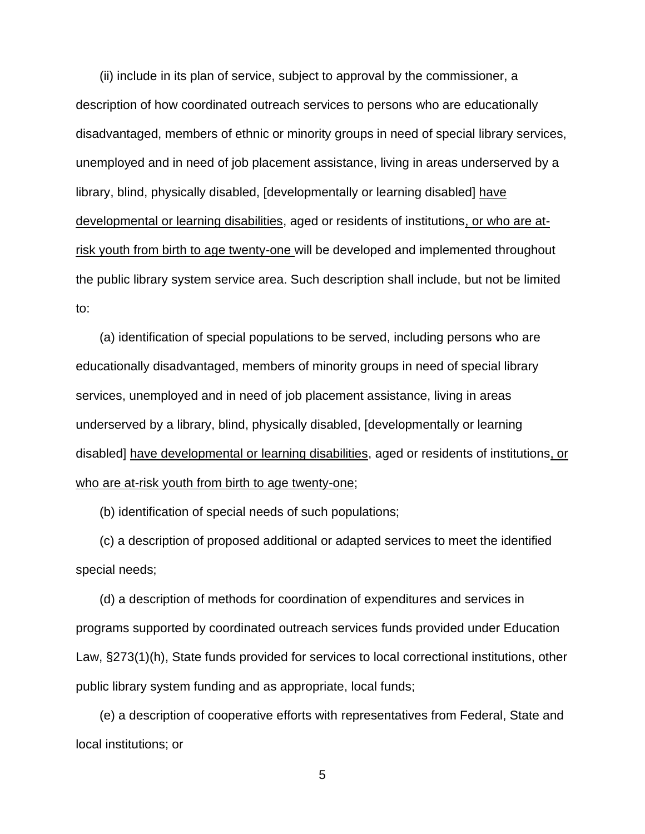(ii) include in its plan of service, subject to approval by the commissioner, a description of how coordinated outreach services to persons who are educationally disadvantaged, members of ethnic or minority groups in need of special library services, unemployed and in need of job placement assistance, living in areas underserved by a library, blind, physically disabled, [developmentally or learning disabled] have developmental or learning disabilities, aged or residents of institutions, or who are atrisk youth from birth to age twenty-one will be developed and implemented throughout the public library system service area. Such description shall include, but not be limited to:

(a) identification of special populations to be served, including persons who are educationally disadvantaged, members of minority groups in need of special library services, unemployed and in need of job placement assistance, living in areas underserved by a library, blind, physically disabled, [developmentally or learning disabled] have developmental or learning disabilities, aged or residents of institutions, or who are at-risk youth from birth to age twenty-one;

(b) identification of special needs of such populations;

(c) a description of proposed additional or adapted services to meet the identified special needs;

(d) a description of methods for coordination of expenditures and services in programs supported by coordinated outreach services funds provided under Education Law, §273(1)(h), State funds provided for services to local correctional institutions, other public library system funding and as appropriate, local funds;

(e) a description of cooperative efforts with representatives from Federal, State and local institutions; or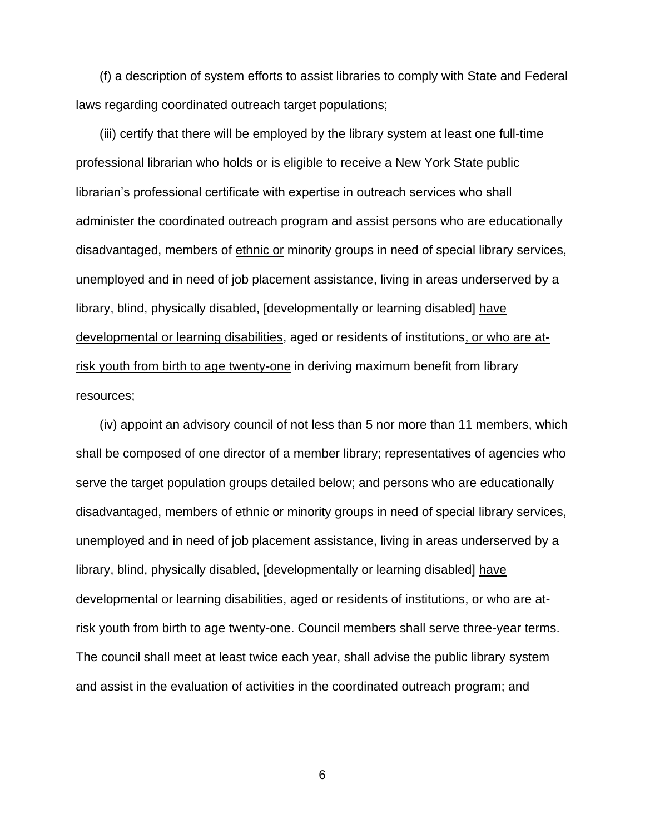(f) a description of system efforts to assist libraries to comply with State and Federal laws regarding coordinated outreach target populations;

(iii) certify that there will be employed by the library system at least one full-time professional librarian who holds or is eligible to receive a New York State public librarian's professional certificate with expertise in outreach services who shall administer the coordinated outreach program and assist persons who are educationally disadvantaged, members of ethnic or minority groups in need of special library services, unemployed and in need of job placement assistance, living in areas underserved by a library, blind, physically disabled, [developmentally or learning disabled] have developmental or learning disabilities, aged or residents of institutions, or who are atrisk youth from birth to age twenty-one in deriving maximum benefit from library resources;

(iv) appoint an advisory council of not less than 5 nor more than 11 members, which shall be composed of one director of a member library; representatives of agencies who serve the target population groups detailed below; and persons who are educationally disadvantaged, members of ethnic or minority groups in need of special library services, unemployed and in need of job placement assistance, living in areas underserved by a library, blind, physically disabled, [developmentally or learning disabled] have developmental or learning disabilities, aged or residents of institutions, or who are atrisk youth from birth to age twenty-one. Council members shall serve three-year terms. The council shall meet at least twice each year, shall advise the public library system and assist in the evaluation of activities in the coordinated outreach program; and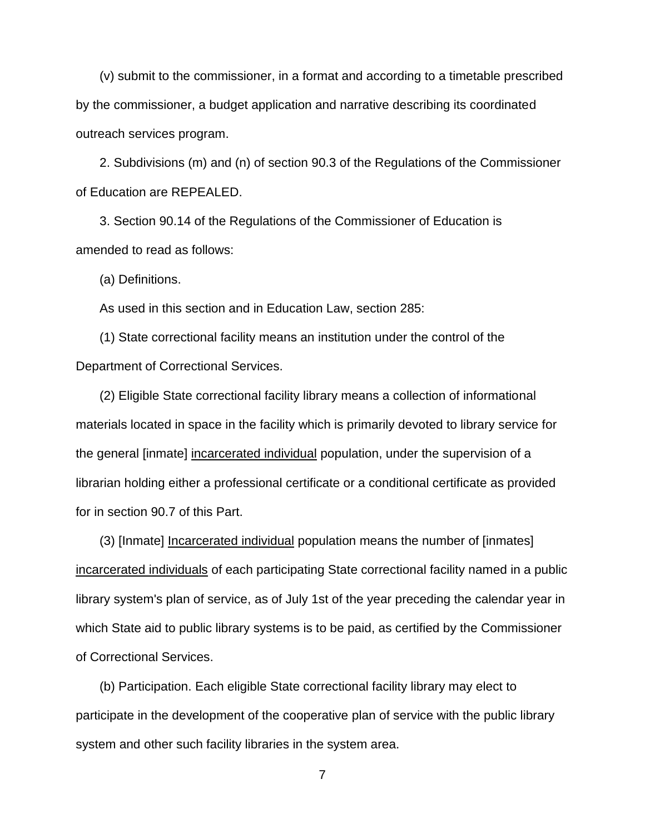(v) submit to the commissioner, in a format and according to a timetable prescribed by the commissioner, a budget application and narrative describing its coordinated outreach services program.

2. Subdivisions (m) and (n) of section 90.3 of the Regulations of the Commissioner of Education are REPEALED.

3. Section 90.14 of the Regulations of the Commissioner of Education is amended to read as follows:

(a) Definitions.

As used in this section and in Education Law, section 285:

(1) State correctional facility means an institution under the control of the Department of Correctional Services.

(2) Eligible State correctional facility library means a collection of informational materials located in space in the facility which is primarily devoted to library service for the general [inmate] incarcerated individual population, under the supervision of a librarian holding either a professional certificate or a conditional certificate as provided for in section 90.7 of this Part.

(3) [Inmate] Incarcerated individual population means the number of [inmates] incarcerated individuals of each participating State correctional facility named in a public library system's plan of service, as of July 1st of the year preceding the calendar year in which State aid to public library systems is to be paid, as certified by the Commissioner of Correctional Services.

(b) Participation. Each eligible State correctional facility library may elect to participate in the development of the cooperative plan of service with the public library system and other such facility libraries in the system area.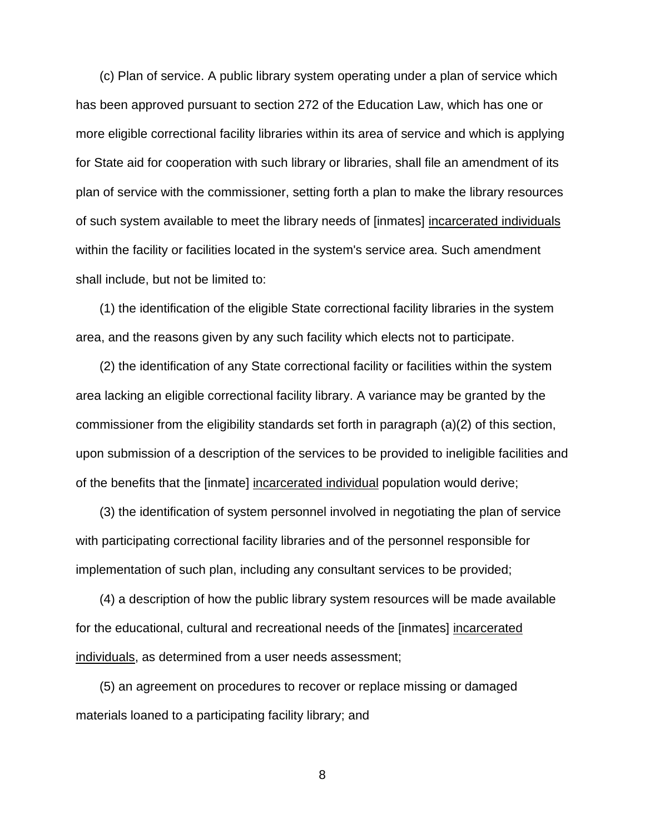(c) Plan of service. A public library system operating under a plan of service which has been approved pursuant to section 272 of the Education Law, which has one or more eligible correctional facility libraries within its area of service and which is applying for State aid for cooperation with such library or libraries, shall file an amendment of its plan of service with the commissioner, setting forth a plan to make the library resources of such system available to meet the library needs of [inmates] incarcerated individuals within the facility or facilities located in the system's service area. Such amendment shall include, but not be limited to:

(1) the identification of the eligible State correctional facility libraries in the system area, and the reasons given by any such facility which elects not to participate.

(2) the identification of any State correctional facility or facilities within the system area lacking an eligible correctional facility library. A variance may be granted by the commissioner from the eligibility standards set forth in paragraph (a)(2) of this section, upon submission of a description of the services to be provided to ineligible facilities and of the benefits that the [inmate] incarcerated individual population would derive;

(3) the identification of system personnel involved in negotiating the plan of service with participating correctional facility libraries and of the personnel responsible for implementation of such plan, including any consultant services to be provided;

(4) a description of how the public library system resources will be made available for the educational, cultural and recreational needs of the [inmates] incarcerated individuals, as determined from a user needs assessment;

(5) an agreement on procedures to recover or replace missing or damaged materials loaned to a participating facility library; and